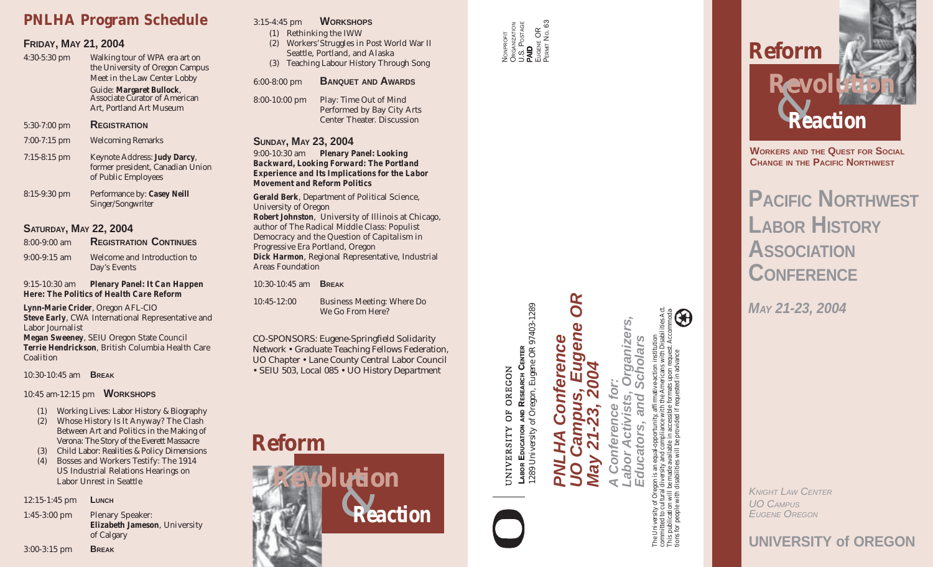# **PNLHA Program Schedule**

### **FRIDAY, MAY 21, 2004**

4:30-5:30 pm Walking tour of WPA era art on the University of Oregon Campus Meet in the Law Center Lobby

> Guide: **Margaret Bullock** , Associate Curator of American Art, Portland Art Museum

- 5:30-7:00 pm **REGISTRATION**
- 7:00-7:15 pm Welcoming Remarks 7:15-8:15 pm Keynote Address: **Judy Darcy** , former president, Canadian Union of Public Employees
- 8:15-9:30 pm Performance by: **Casey Neill** Singer/Songwriter

# **SATURDAY, MAY 22, 2004**

8:00-9:00 am **REGISTRATION CONTINUES** 9:00-9:15 am Welcome and Introduction to Day's Events

9:15-10:30 am **Plenary Panel:** *It Can Happen Here: The Politics of Health Care Reform*

**Lynn-Marie Crider**, Oregon AFL-CIO **Steve Early**, CWA International Representative and Labor Journalist **Megan Sweeney**, SEIU Oregon State Council **Terrie Hendrickson**, British Columbia Health Care Coalition

10:30-10:45 am **BREAK**

## 10:45 am-12:15 pm **WORKSHOPS**

- (1) Working Lives: Labor History & Biography
- (2) Whose History Is It Anyway? The Clash Between Art and Politics in the Making of *Verona: The Story of the Everett Massacre*
- (3) Child Labor: Realities & Policy Dimensions
- (4) Bosses and Workers Testify: The 1914 US Industrial Relations Hearings on Labor Unrest in Seattle

12:15-1:45 pm **LUNCH**

1:45-3:00 pm Plenary Speaker: **Elizabeth Jameson**, University of Calgary

#### 3:15-4:45 pm **WORKSHOPS**

- (1) Rethinking the IWW
- (2) Workers'Struggles in Post World War II Seattle, Portland, and Alaska
- (3) Teaching Labour History Through Song

#### 6:00-8:00 pm **BANQUET AND AWARDS**

8:00-10:00 pm Play: *Time Out of Mind* Performed by Bay City Arts Center Theater. Discussion

# **SUNDAY, MAY 23, 2004**

9:00-10:30 am **Plenary Panel:** *Looking Backward, Looking Forward: The Portland Experience and Its Implications for the Labor Movement and Reform Politics*

**Gerald Berk**, Department of Political Science, University of Oregon **Robert Johnston**, University of Illinois at Chicago, author of *The Radical Middle Class: Populist Democracy and the Question of Capitalism in Progressive Era Portland, Oregon* **Dick Harmon**, Regional Representative, Industrial Areas Foundation

#### 10:30-10:45 am **BREAK**

10:45-12:00 Business Meeting: Where Do We Go From Here?

*CO-SPONSORS: Eugene-Springfield Solidarity Network • Graduate Teaching Fellows Federation, UO Chapter • Lane County Central Labor Council • SEIU 503, Local 085 • UO History Department*





**LABOR EDUCATION AND RESEARCH CENTER**

LABOR

1289 University of Oregon, Eugene OR 97403-1289

ABOR EDUCATION AND RESEARCH CENTER<br>289 University of Oregon, Eugene OR 97403-1289

OREGON

ðF

UNIVERSITY

*PNLHA Conference*

Ō

*UO Campus, Eugene OR*

OR

 $\mathbf{D}$ **CVB** 

*May 21-23, 2004*

*A Conference for:*

*Labor Activists, Organizers,*

ganizers



committed to cultural diversity and compliance with the Americans with Disabilities Act. This publication will be made available in accessible formats upon request. Accommoda-The University of Oregon is an equal-opportunity, affirmative-action institution *Educators, and Scholars* lar. tions for people with disabilities will be provided if requested in advance  $\bullet$ ග

\$

*KNIGHT LAW CENTER<br>UO CAMPUS<br>EUGENE OREGON*<br>**UNIVERSITY of OREGON** *UO CAMPUS EUGENE OREGON*